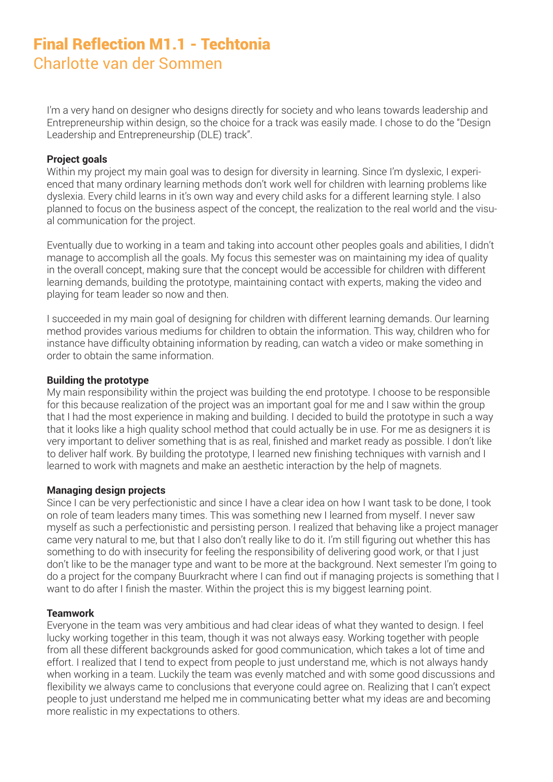# Final Reflection M1.1 - Techtonia Charlotte van der Sommen

I'm a very hand on designer who designs directly for society and who leans towards leadership and Entrepreneurship within design, so the choice for a track was easily made. I chose to do the "Design Leadership and Entrepreneurship (DLE) track".

### **Project goals**

Within my project my main goal was to design for diversity in learning. Since I'm dyslexic, I experienced that many ordinary learning methods don't work well for children with learning problems like dyslexia. Every child learns in it's own way and every child asks for a different learning style. I also planned to focus on the business aspect of the concept, the realization to the real world and the visual communication for the project.

Eventually due to working in a team and taking into account other peoples goals and abilities, I didn't manage to accomplish all the goals. My focus this semester was on maintaining my idea of quality in the overall concept, making sure that the concept would be accessible for children with different learning demands, building the prototype, maintaining contact with experts, making the video and playing for team leader so now and then.

I succeeded in my main goal of designing for children with different learning demands. Our learning method provides various mediums for children to obtain the information. This way, children who for instance have difficulty obtaining information by reading, can watch a video or make something in order to obtain the same information.

# **Building the prototype**

My main responsibility within the project was building the end prototype. I choose to be responsible for this because realization of the project was an important goal for me and I saw within the group that I had the most experience in making and building. I decided to build the prototype in such a way that it looks like a high quality school method that could actually be in use. For me as designers it is very important to deliver something that is as real, finished and market ready as possible. I don't like to deliver half work. By building the prototype, I learned new finishing techniques with varnish and I learned to work with magnets and make an aesthetic interaction by the help of magnets.

### **Managing design projects**

Since I can be very perfectionistic and since I have a clear idea on how I want task to be done, I took on role of team leaders many times. This was something new I learned from myself. I never saw myself as such a perfectionistic and persisting person. I realized that behaving like a project manager came very natural to me, but that I also don't really like to do it. I'm still figuring out whether this has something to do with insecurity for feeling the responsibility of delivering good work, or that I just don't like to be the manager type and want to be more at the background. Next semester I'm going to do a project for the company Buurkracht where I can find out if managing projects is something that I want to do after I finish the master. Within the project this is my biggest learning point.

### **Teamwork**

Everyone in the team was very ambitious and had clear ideas of what they wanted to design. I feel lucky working together in this team, though it was not always easy. Working together with people from all these different backgrounds asked for good communication, which takes a lot of time and effort. I realized that I tend to expect from people to just understand me, which is not always handy when working in a team. Luckily the team was evenly matched and with some good discussions and flexibility we always came to conclusions that everyone could agree on. Realizing that I can't expect people to just understand me helped me in communicating better what my ideas are and becoming more realistic in my expectations to others.